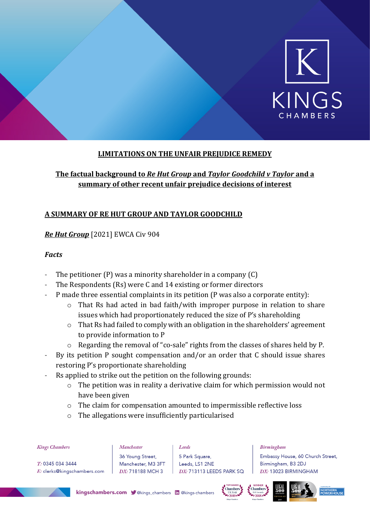

# **LIMITATIONS ON THE UNFAIR PREJUDICE REMEDY**

# **The factual background to** *Re Hut Group* **and** *Taylor Goodchild v Taylor* **and a summary of other recent unfair prejudice decisions of interest**

# **A SUMMARY OF RE HUT GROUP AND TAYLOR GOODCHILD**

### *Re Hut Group* [2021] EWCA Civ 904

### *Facts*

- The petitioner  $(P)$  was a minority shareholder in a company  $(C)$
- The Respondents (Rs) were C and 14 existing or former directors
- P made three essential complaints in its petition (P was also a corporate entity):
	- o That Rs had acted in bad faith/with improper purpose in relation to share issues which had proportionately reduced the size of P's shareholding
	- o That Rs had failed to comply with an obligation in the shareholders' agreement to provide information to P
	- o Regarding the removal of "co-sale" rights from the classes of shares held by P.
- By its petition P sought compensation and/or an order that C should issue shares restoring P's proportionate shareholding
- Rs applied to strike out the petition on the following grounds:
	- o The petition was in reality a derivative claim for which permission would not have been given
	- o The claim for compensation amounted to impermissible reflective loss
	- o The allegations were insufficiently particularised

| <b>Kings Chambers</b> |  |  |
|-----------------------|--|--|
|-----------------------|--|--|

T: 0345 034 3444 E: clerks@kingschambers.com Manchester 36 Young Street, Manchester, M3 3FT DX: 718188 MCH 3

Loods 5 Park Square, Leeds, LS1 2NE DX: 713113 LEEDS PARK SQ

#### **Birmingham**

Embassy House, 60 Church Street, Birmingham, B3 2DJ DX: 13023 BIRMINGHAM









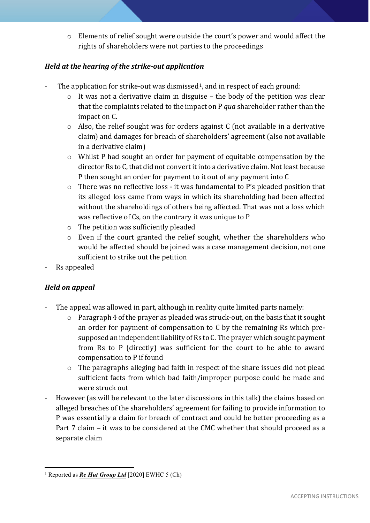o Elements of relief sought were outside the court's power and would affect the rights of shareholders were not parties to the proceedings

# *Held at the hearing of the strike-out application*

- The application for strike-out was dismissed<sup>[1](#page-1-0)</sup>, and in respect of each ground:
	- o It was not a derivative claim in disguise the body of the petition was clear that the complaints related to the impact on P *qua* shareholder rather than the impact on C.
	- o Also, the relief sought was for orders against C (not available in a derivative claim) and damages for breach of shareholders' agreement (also not available in a derivative claim)
	- o Whilst P had sought an order for payment of equitable compensation by the director Rs to C, that did not convert it into a derivative claim. Not least because P then sought an order for payment to it out of any payment into C
	- o There was no reflective loss it was fundamental to P's pleaded position that its alleged loss came from ways in which its shareholding had been affected without the shareholdings of others being affected. That was not a loss which was reflective of Cs, on the contrary it was unique to P
	- o The petition was sufficiently pleaded
	- o Even if the court granted the relief sought, whether the shareholders who would be affected should be joined was a case management decision, not one sufficient to strike out the petition
- Rs appealed

# *Held on appeal*

- The appeal was allowed in part, although in reality quite limited parts namely:
	- o Paragraph 4 of the prayer as pleaded was struck-out, on the basis that it sought an order for payment of compensation to C by the remaining Rs which presupposed an independent liability of Rs to C. The prayer which sought payment from Rs to P (directly) was sufficient for the court to be able to award compensation to P if found
	- o The paragraphs alleging bad faith in respect of the share issues did not plead sufficient facts from which bad faith/improper purpose could be made and were struck out
- However (as will be relevant to the later discussions in this talk) the claims based on alleged breaches of the shareholders' agreement for failing to provide information to P was essentially a claim for breach of contract and could be better proceeding as a Part 7 claim – it was to be considered at the CMC whether that should proceed as a separate claim

<span id="page-1-0"></span><sup>1</sup> Reported as *Re Hut Group Ltd* [2020] EWHC 5 (Ch)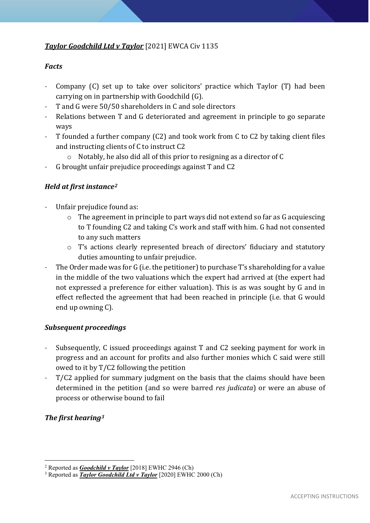# *Taylor Goodchild Ltd v Taylor* [2021] EWCA Civ 1135

#### *Facts*

- Company (C) set up to take over solicitors' practice which Taylor (T) had been carrying on in partnership with Goodchild (G).
- T and G were 50/50 shareholders in C and sole directors
- Relations between T and G deteriorated and agreement in principle to go separate ways
- T founded a further company (C2) and took work from C to C2 by taking client files and instructing clients of C to instruct C2
	- o Notably, he also did all of this prior to resigning as a director of C
- G brought unfair prejudice proceedings against T and C2

# *Held at first instance[2](#page-2-0)*

- Unfair prejudice found as:
	- o The agreement in principle to part ways did not extend so far as G acquiescing to T founding C2 and taking C's work and staff with him. G had not consented to any such matters
	- o T's actions clearly represented breach of directors' fiduciary and statutory duties amounting to unfair prejudice.
- The Order made was for G (i.e. the petitioner) to purchase T's shareholding for a value in the middle of the two valuations which the expert had arrived at (the expert had not expressed a preference for either valuation). This is as was sought by G and in effect reflected the agreement that had been reached in principle (i.e. that G would end up owning C).

# *Subsequent proceedings*

- Subsequently, C issued proceedings against T and C2 seeking payment for work in progress and an account for profits and also further monies which C said were still owed to it by T/C2 following the petition
- T/C2 applied for summary judgment on the basis that the claims should have been determined in the petition (and so were barred *res judicata*) or were an abuse of process or otherwise bound to fail

# *The first hearing[3](#page-2-1)*

<span id="page-2-0"></span><sup>2</sup> Reported as *Goodchild v Taylor* [2018] EWHC 2946 (Ch)

<span id="page-2-1"></span><sup>3</sup> Reported as *Taylor Goodchild Ltd v Taylor* [2020] EWHC 2000 (Ch)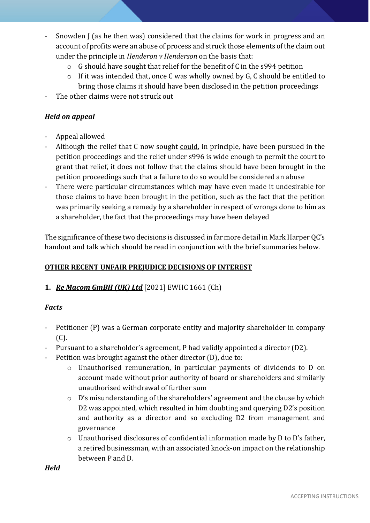- Snowden J (as he then was) considered that the claims for work in progress and an account of profits were an abuse of process and struck those elements of the claim out under the principle in *Henderon v Henderson* on the basis that:
	- o G should have sought that relief for the benefit of C in the s994 petition
	- o If it was intended that, once C was wholly owned by G, C should be entitled to bring those claims it should have been disclosed in the petition proceedings
- The other claims were not struck out

# *Held on appeal*

- Appeal allowed
- Although the relief that C now sought could, in principle, have been pursued in the petition proceedings and the relief under s996 is wide enough to permit the court to grant that relief, it does not follow that the claims should have been brought in the petition proceedings such that a failure to do so would be considered an abuse
- There were particular circumstances which may have even made it undesirable for those claims to have been brought in the petition, such as the fact that the petition was primarily seeking a remedy by a shareholder in respect of wrongs done to him as a shareholder, the fact that the proceedings may have been delayed

The significance of these two decisions is discussed in far more detail in Mark Harper QC's handout and talk which should be read in conjunction with the brief summaries below.

# **OTHER RECENT UNFAIR PREJUDICE DECISIONS OF INTEREST**

**1.** *Re Macom GmBH (UK) Ltd* [2021] EWHC 1661 (Ch)

# *Facts*

- Petitioner (P) was a German corporate entity and majority shareholder in company (C).
- Pursuant to a shareholder's agreement, P had validly appointed a director (D2).
- Petition was brought against the other director (D), due to:
	- o Unauthorised remuneration, in particular payments of dividends to D on account made without prior authority of board or shareholders and similarly unauthorised withdrawal of further sum
	- o D's misunderstanding of the shareholders' agreement and the clause by which D2 was appointed, which resulted in him doubting and querying D2's position and authority as a director and so excluding D2 from management and governance
	- o Unauthorised disclosures of confidential information made by D to D's father, a retired businessman, with an associated knock-on impact on the relationship between P and D.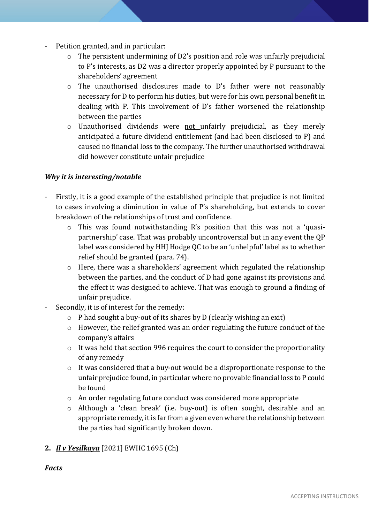- Petition granted, and in particular:
	- o The persistent undermining of D2's position and role was unfairly prejudicial to P's interests, as D2 was a director properly appointed by P pursuant to the shareholders' agreement
	- o The unauthorised disclosures made to D's father were not reasonably necessary for D to perform his duties, but were for his own personal benefit in dealing with P. This involvement of D's father worsened the relationship between the parties
	- o Unauthorised dividends were not unfairly prejudicial, as they merely anticipated a future dividend entitlement (and had been disclosed to P) and caused no financial loss to the company. The further unauthorised withdrawal did however constitute unfair prejudice

# *Why it is interesting/notable*

- Firstly, it is a good example of the established principle that prejudice is not limited to cases involving a diminution in value of P's shareholding, but extends to cover breakdown of the relationships of trust and confidence.
	- o This was found notwithstanding R's position that this was not a 'quasipartnership' case. That was probably uncontroversial but in any event the QP label was considered by HHJ Hodge QC to be an 'unhelpful' label as to whether relief should be granted (para. 74).
	- o Here, there was a shareholders' agreement which regulated the relationship between the parties, and the conduct of D had gone against its provisions and the effect it was designed to achieve. That was enough to ground a finding of unfair prejudice.
- Secondly, it is of interest for the remedy:
	- $\circ$  P had sought a buy-out of its shares by D (clearly wishing an exit)
	- o However, the relief granted was an order regulating the future conduct of the company's affairs
	- o It was held that section 996 requires the court to consider the proportionality of any remedy
	- o It was considered that a buy-out would be a disproportionate response to the unfair prejudice found, in particular where no provable financial loss to P could be found
	- o An order regulating future conduct was considered more appropriate
	- o Although a 'clean break' (i.e. buy-out) is often sought, desirable and an appropriate remedy, it is far from a given even where the relationship between the parties had significantly broken down.

# **2.** *Il v Yesilkaya* [2021] EWHC 1695 (Ch)

#### *Facts*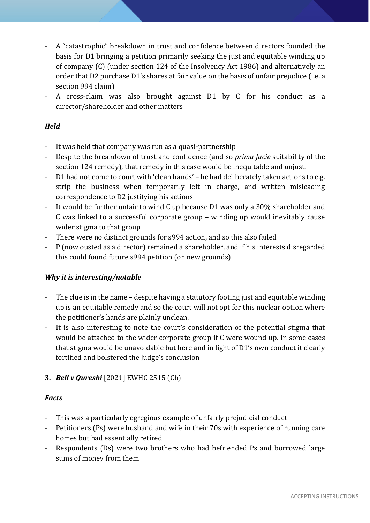- A "catastrophic" breakdown in trust and confidence between directors founded the basis for D1 bringing a petition primarily seeking the just and equitable winding up of company (C) (under section 124 of the Insolvency Act 1986) and alternatively an order that D2 purchase D1's shares at fair value on the basis of unfair prejudice (i.e. a section 994 claim)
- A cross-claim was also brought against D1 by C for his conduct as a director/shareholder and other matters

# *Held*

- It was held that company was run as a quasi-partnership
- Despite the breakdown of trust and confidence (and so *prima facie* suitability of the section 124 remedy), that remedy in this case would be inequitable and unjust.
- D1 had not come to court with 'clean hands' he had deliberately taken actions to e.g. strip the business when temporarily left in charge, and written misleading correspondence to D2 justifying his actions
- It would be further unfair to wind C up because D1 was only a 30% shareholder and C was linked to a successful corporate group – winding up would inevitably cause wider stigma to that group
- There were no distinct grounds for s994 action, and so this also failed
- P (now ousted as a director) remained a shareholder, and if his interests disregarded this could found future s994 petition (on new grounds)

#### *Why it is interesting/notable*

- The clue is in the name despite having a statutory footing just and equitable winding up is an equitable remedy and so the court will not opt for this nuclear option where the petitioner's hands are plainly unclean.
- It is also interesting to note the court's consideration of the potential stigma that would be attached to the wider corporate group if C were wound up. In some cases that stigma would be unavoidable but here and in light of D1's own conduct it clearly fortified and bolstered the Judge's conclusion

# **3.** *Bell v Qureshi* [2021] EWHC 2515 (Ch)

#### *Facts*

- This was a particularly egregious example of unfairly prejudicial conduct
- Petitioners (Ps) were husband and wife in their 70s with experience of running care homes but had essentially retired
- Respondents (Ds) were two brothers who had befriended Ps and borrowed large sums of money from them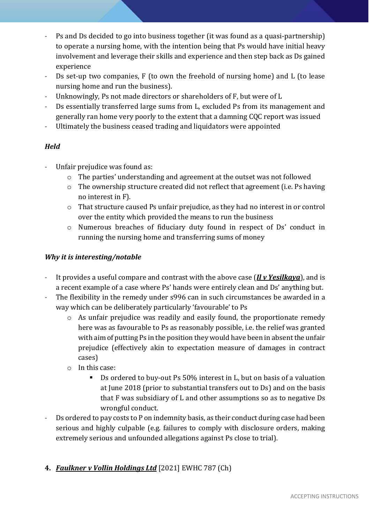- Ps and Ds decided to go into business together (it was found as a quasi-partnership) to operate a nursing home, with the intention being that Ps would have initial heavy involvement and leverage their skills and experience and then step back as Ds gained experience
- Ds set-up two companies, F (to own the freehold of nursing home) and L (to lease nursing home and run the business).
- Unknowingly, Ps not made directors or shareholders of F, but were of L
- Ds essentially transferred large sums from L, excluded Ps from its management and generally ran home very poorly to the extent that a damning CQC report was issued
- Ultimately the business ceased trading and liquidators were appointed

# *Held*

- Unfair prejudice was found as:
	- o The parties' understanding and agreement at the outset was not followed
	- o The ownership structure created did not reflect that agreement (i.e. Ps having no interest in F).
	- o That structure caused Ps unfair prejudice, as they had no interest in or control over the entity which provided the means to run the business
	- o Numerous breaches of fiduciary duty found in respect of Ds' conduct in running the nursing home and transferring sums of money

# *Why it is interesting/notable*

- It provides a useful compare and contrast with the above case (*Il v Yesilkaya*), and is a recent example of a case where Ps' hands were entirely clean and Ds' anything but.
- The flexibility in the remedy under s996 can in such circumstances be awarded in a way which can be deliberately particularly 'favourable' to Ps
	- $\circ$  As unfair prejudice was readily and easily found, the proportionate remedy here was as favourable to Ps as reasonably possible, i.e. the relief was granted with aim of putting Ps in the position they would have been in absent the unfair prejudice (effectively akin to expectation measure of damages in contract cases)
	- o In this case:
		- Ds ordered to buy-out Ps 50% interest in L, but on basis of a valuation at June 2018 (prior to substantial transfers out to Ds) and on the basis that F was subsidiary of L and other assumptions so as to negative Ds wrongful conduct.
- Ds ordered to pay costs to P on indemnity basis, as their conduct during case had been serious and highly culpable (e.g. failures to comply with disclosure orders, making extremely serious and unfounded allegations against Ps close to trial).
- **4.** *Faulkner v Vollin Holdings Ltd* [2021] EWHC 787 (Ch)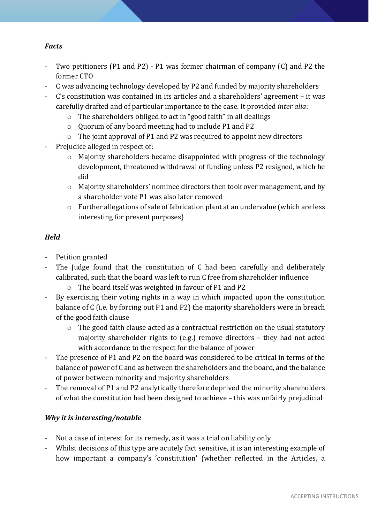# *Facts*

- Two petitioners (P1 and P2) P1 was former chairman of company (C) and P2 the former CTO
- C was advancing technology developed by P2 and funded by majority shareholders
- C's constitution was contained in its articles and a shareholders' agreement it was carefully drafted and of particular importance to the case. It provided *inter alia*:
	- o The shareholders obliged to act in "good faith" in all dealings
	- o Quorum of any board meeting had to include P1 and P2
	- o The joint approval of P1 and P2 was required to appoint new directors
- Prejudice alleged in respect of:
	- o Majority shareholders became disappointed with progress of the technology development, threatened withdrawal of funding unless P2 resigned, which he did
	- o Majority shareholders' nominee directors then took over management, and by a shareholder vote P1 was also later removed
	- o Further allegations of sale of fabrication plant at an undervalue (which are less interesting for present purposes)

# *Held*

- Petition granted
- The Judge found that the constitution of C had been carefully and deliberately calibrated, such that the board was left to run C free from shareholder influence
	- o The board itself was weighted in favour of P1 and P2
- By exercising their voting rights in a way in which impacted upon the constitution balance of C (i.e. by forcing out P1 and P2) the majority shareholders were in breach of the good faith clause
	- o The good faith clause acted as a contractual restriction on the usual statutory majority shareholder rights to (e.g.) remove directors – they had not acted with accordance to the respect for the balance of power
- The presence of P1 and P2 on the board was considered to be critical in terms of the balance of power of C and as between the shareholders and the board, and the balance of power between minority and majority shareholders
- The removal of P1 and P2 analytically therefore deprived the minority shareholders of what the constitution had been designed to achieve – this was unfairly prejudicial

# *Why it is interesting/notable*

- Not a case of interest for its remedy, as it was a trial on liability only
- Whilst decisions of this type are acutely fact sensitive, it is an interesting example of how important a company's 'constitution' (whether reflected in the Articles, a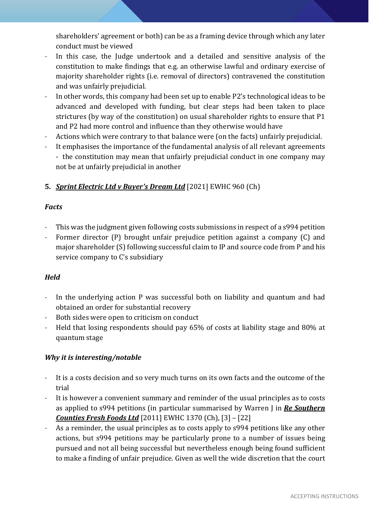shareholders' agreement or both) can be as a framing device through which any later conduct must be viewed

- In this case, the Judge undertook and a detailed and sensitive analysis of the constitution to make findings that e.g. an otherwise lawful and ordinary exercise of majority shareholder rights (i.e. removal of directors) contravened the constitution and was unfairly prejudicial.
- In other words, this company had been set up to enable P2's technological ideas to be advanced and developed with funding, but clear steps had been taken to place strictures (by way of the constitution) on usual shareholder rights to ensure that P1 and P2 had more control and influence than they otherwise would have
- Actions which were contrary to that balance were (on the facts) unfairly prejudicial.
- It emphasises the importance of the fundamental analysis of all relevant agreements - the constitution may mean that unfairly prejudicial conduct in one company may not be at unfairly prejudicial in another

# **5.** *Sprint Electric Ltd v Buyer's Dream Ltd* [2021] EWHC 960 (Ch)

# *Facts*

- This was the judgment given following costs submissions in respect of a s994 petition
- Former director (P) brought unfair prejudice petition against a company (C) and major shareholder (S) following successful claim to IP and source code from P and his service company to C's subsidiary

# *Held*

- In the underlying action P was successful both on liability and quantum and had obtained an order for substantial recovery
- Both sides were open to criticism on conduct
- Held that losing respondents should pay 65% of costs at liability stage and 80% at quantum stage

# *Why it is interesting/notable*

- It is a costs decision and so very much turns on its own facts and the outcome of the trial
- It is however a convenient summary and reminder of the usual principles as to costs as applied to s994 petitions (in particular summarised by Warren J in *Re Southern Counties Fresh Foods Ltd* [2011] EWHC 1370 (Ch), [3] – [22]
- As a reminder, the usual principles as to costs apply to s994 petitions like any other actions, but s994 petitions may be particularly prone to a number of issues being pursued and not all being successful but nevertheless enough being found sufficient to make a finding of unfair prejudice. Given as well the wide discretion that the court